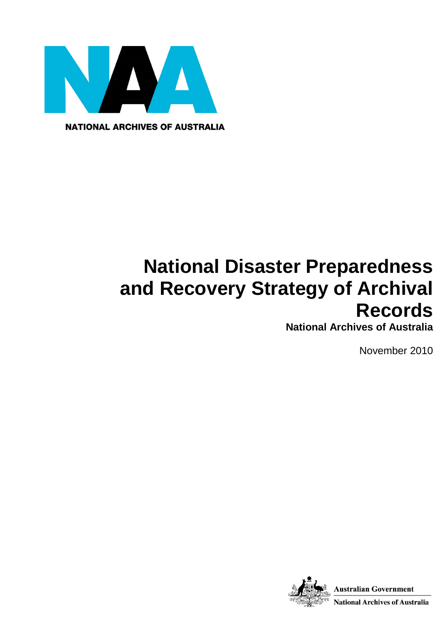

**NATIONAL ARCHIVES OF AUSTRALIA** 

# **National Disaster Preparedness and Recovery Strategy of Archival Records**

**National Archives of Australia**

November 2010

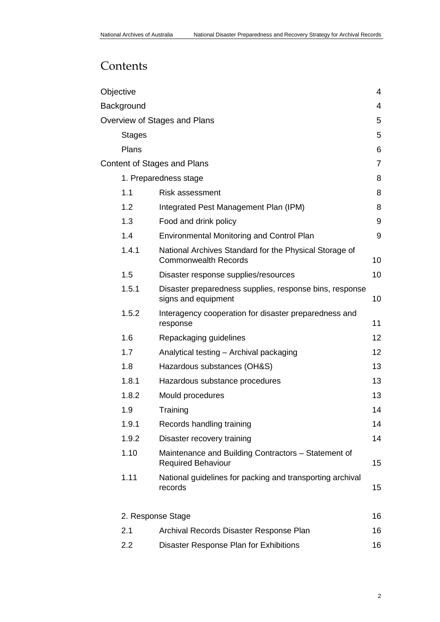# **Contents**

|                              | Objective                          |                                                                                       |                 |  |  |  |
|------------------------------|------------------------------------|---------------------------------------------------------------------------------------|-----------------|--|--|--|
| Background                   |                                    |                                                                                       |                 |  |  |  |
| Overview of Stages and Plans |                                    |                                                                                       |                 |  |  |  |
|                              | <b>Stages</b>                      |                                                                                       | 5               |  |  |  |
|                              | Plans                              |                                                                                       | 6               |  |  |  |
|                              | <b>Content of Stages and Plans</b> |                                                                                       |                 |  |  |  |
|                              | 1. Preparedness stage<br>8         |                                                                                       |                 |  |  |  |
|                              | 1.1                                | <b>Risk assessment</b>                                                                | 8               |  |  |  |
|                              | 1.2                                | Integrated Pest Management Plan (IPM)                                                 | 8               |  |  |  |
|                              | 1.3                                | Food and drink policy                                                                 | 9               |  |  |  |
|                              | 1.4                                | <b>Environmental Monitoring and Control Plan</b>                                      | 9               |  |  |  |
|                              | 1.4.1                              | National Archives Standard for the Physical Storage of<br><b>Commonwealth Records</b> | 10              |  |  |  |
|                              | 1.5                                | Disaster response supplies/resources                                                  | 10              |  |  |  |
|                              | 1.5.1                              | Disaster preparedness supplies, response bins, response<br>signs and equipment        | 10              |  |  |  |
|                              | 1.5.2                              | Interagency cooperation for disaster preparedness and<br>response                     | 11              |  |  |  |
|                              | 1.6                                | Repackaging guidelines                                                                | 12              |  |  |  |
|                              | 1.7                                | Analytical testing - Archival packaging                                               | 12 <sub>2</sub> |  |  |  |
|                              | 1.8                                | Hazardous substances (OH&S)                                                           | 13              |  |  |  |
|                              | 1.8.1                              | Hazardous substance procedures                                                        | 13              |  |  |  |
|                              | 1.8.2                              | Mould procedures                                                                      | 13              |  |  |  |
|                              | 1.9                                | Training                                                                              | 14              |  |  |  |
|                              | 1.9.1                              | Records handling training                                                             | 14              |  |  |  |
|                              | 1.9.2                              | Disaster recovery training                                                            | 14              |  |  |  |
|                              | 1.10                               | Maintenance and Building Contractors - Statement of<br><b>Required Behaviour</b>      | 15              |  |  |  |
|                              | 1.11                               | National guidelines for packing and transporting archival<br>records                  | 15              |  |  |  |
|                              | 2. Response Stage                  |                                                                                       |                 |  |  |  |
|                              | 2.1                                | Archival Records Disaster Response Plan                                               | 16              |  |  |  |
|                              | 2.2                                | Disaster Response Plan for Exhibitions                                                | 16              |  |  |  |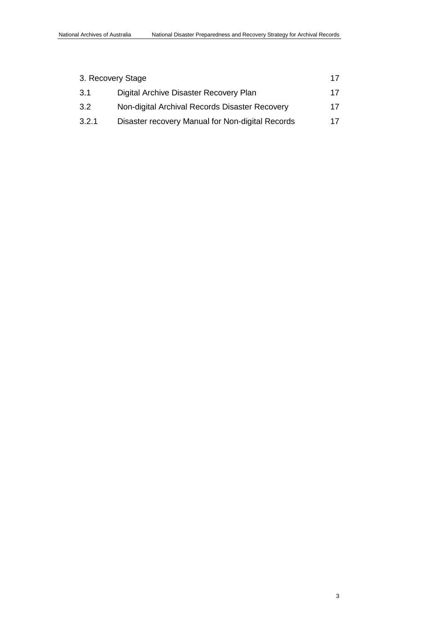| 3. Recovery Stage<br>17 |                                                  |    |  |
|-------------------------|--------------------------------------------------|----|--|
| -3.1                    | Digital Archive Disaster Recovery Plan           | 17 |  |
| 3.2                     | Non-digital Archival Records Disaster Recovery   | 17 |  |
| 3.2.1                   | Disaster recovery Manual for Non-digital Records | 17 |  |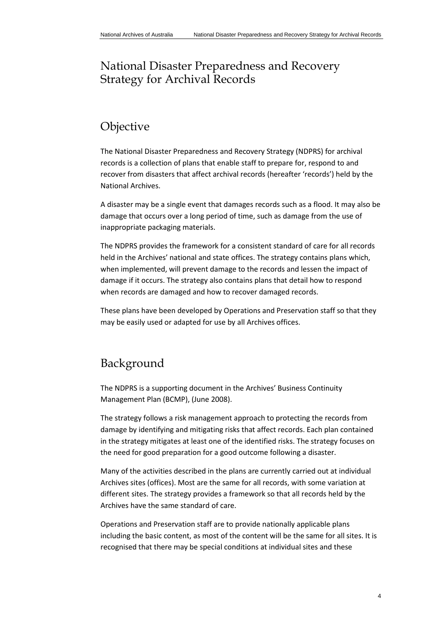# National Disaster Preparedness and Recovery Strategy for Archival Records

# <span id="page-3-0"></span>Objective

The National Disaster Preparedness and Recovery Strategy (NDPRS) for archival records is a collection of plans that enable staff to prepare for, respond to and recover from disasters that affect archival records (hereafter 'records') held by the National Archives.

A disaster may be a single event that damages records such as a flood. It may also be damage that occurs over a long period of time, such as damage from the use of inappropriate packaging materials.

The NDPRS provides the framework for a consistent standard of care for all records held in the Archives' national and state offices. The strategy contains plans which, when implemented, will prevent damage to the records and lessen the impact of damage if it occurs. The strategy also contains plans that detail how to respond when records are damaged and how to recover damaged records.

These plans have been developed by Operations and Preservation staff so that they may be easily used or adapted for use by all Archives offices.

# <span id="page-3-1"></span>Background

The NDPRS is a supporting document in the Archives' Business Continuity Management Plan (BCMP), (June 2008).

The strategy follows a risk management approach to protecting the records from damage by identifying and mitigating risks that affect records. Each plan contained in the strategy mitigates at least one of the identified risks. The strategy focuses on the need for good preparation for a good outcome following a disaster.

Many of the activities described in the plans are currently carried out at individual Archives sites (offices). Most are the same for all records, with some variation at different sites. The strategy provides a framework so that all records held by the Archives have the same standard of care.

Operations and Preservation staff are to provide nationally applicable plans including the basic content, as most of the content will be the same for all sites. It is recognised that there may be special conditions at individual sites and these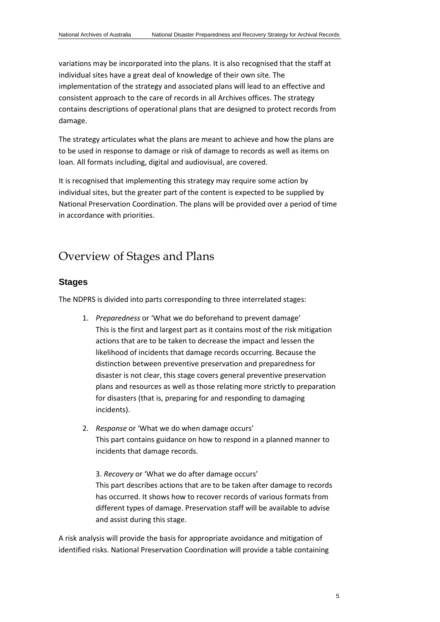variations may be incorporated into the plans. It is also recognised that the staff at individual sites have a great deal of knowledge of their own site. The implementation of the strategy and associated plans will lead to an effective and consistent approach to the care of records in all Archives offices. The strategy contains descriptions of operational plans that are designed to protect records from damage.

The strategy articulates what the plans are meant to achieve and how the plans are to be used in response to damage or risk of damage to records as well as items on loan. All formats including, digital and audiovisual, are covered.

It is recognised that implementing this strategy may require some action by individual sites, but the greater part of the content is expected to be supplied by National Preservation Coordination. The plans will be provided over a period of time in accordance with priorities.

# <span id="page-4-0"></span>Overview of Stages and Plans

## <span id="page-4-1"></span>**Stages**

The NDPRS is divided into parts corresponding to three interrelated stages:

- 1. *Preparedness* or 'What we do beforehand to prevent damage' This is the first and largest part as it contains most of the risk mitigation actions that are to be taken to decrease the impact and lessen the likelihood of incidents that damage records occurring. Because the distinction between preventive preservation and preparedness for disaster is not clear, this stage covers general preventive preservation plans and resources as well as those relating more strictly to preparation for disasters (that is, preparing for and responding to damaging incidents).
- 2. *Response* or 'What we do when damage occurs' This part contains guidance on how to respond in a planned manner to incidents that damage records.

3. *Recovery* or 'What we do after damage occurs' This part describes actions that are to be taken after damage to records has occurred. It shows how to recover records of various formats from different types of damage. Preservation staff will be available to advise and assist during this stage.

A risk analysis will provide the basis for appropriate avoidance and mitigation of identified risks. National Preservation Coordination will provide a table containing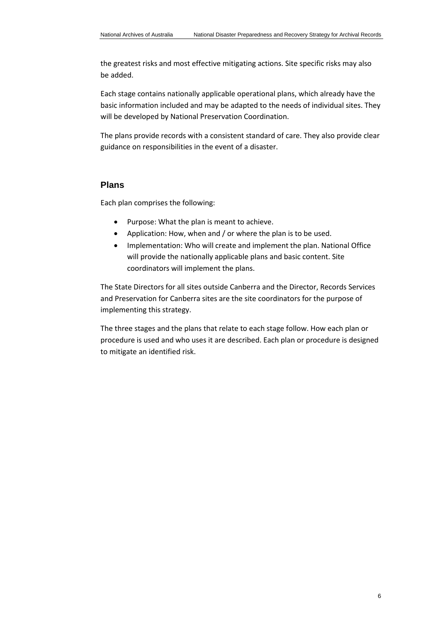the greatest risks and most effective mitigating actions. Site specific risks may also be added.

Each stage contains nationally applicable operational plans, which already have the basic information included and may be adapted to the needs of individual sites. They will be developed by National Preservation Coordination.

The plans provide records with a consistent standard of care. They also provide clear guidance on responsibilities in the event of a disaster.

# <span id="page-5-0"></span>**Plans**

Each plan comprises the following:

- Purpose: What the plan is meant to achieve.
- Application: How, when and / or where the plan is to be used.
- Implementation: Who will create and implement the plan. National Office will provide the nationally applicable plans and basic content. Site coordinators will implement the plans.

The State Directors for all sites outside Canberra and the Director, Records Services and Preservation for Canberra sites are the site coordinators for the purpose of implementing this strategy.

The three stages and the plans that relate to each stage follow. How each plan or procedure is used and who uses it are described. Each plan or procedure is designed to mitigate an identified risk.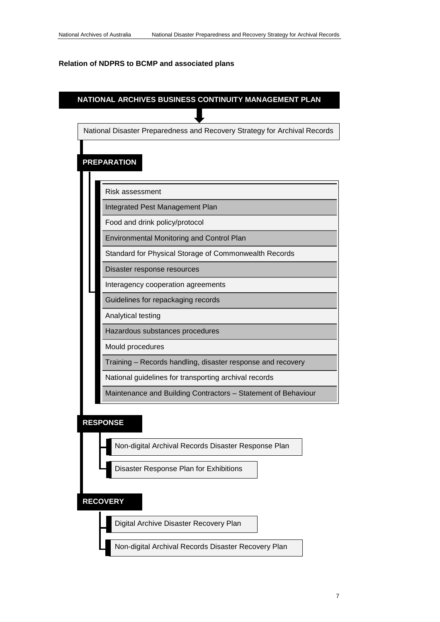#### <span id="page-6-0"></span>**Relation of NDPRS to BCMP and associated plans**



Non-digital Archival Records Disaster Response Plan

Disaster Response Plan for Exhibitions

# **RECOVERY**

Digital Archive Disaster Recovery Plan

Non-digital Archival Records Disaster Recovery Plan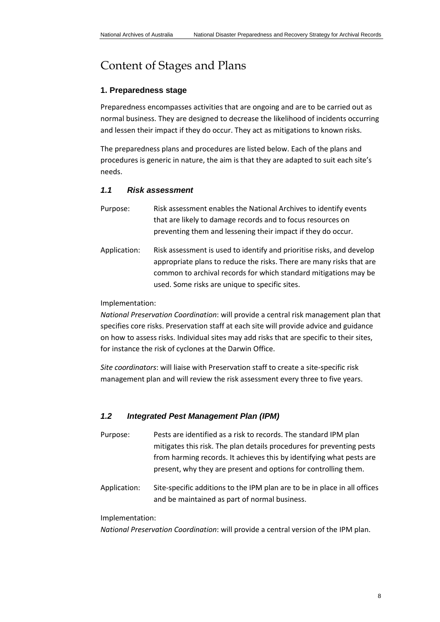# Content of Stages and Plans

#### <span id="page-7-0"></span>**1. Preparedness stage**

Preparedness encompasses activities that are ongoing and are to be carried out as normal business. They are designed to decrease the likelihood of incidents occurring and lessen their impact if they do occur. They act as mitigations to known risks.

The preparedness plans and procedures are listed below. Each of the plans and procedures is generic in nature, the aim is that they are adapted to suit each site's needs.

# <span id="page-7-1"></span>*1.1 Risk assessment*

- Purpose: Risk assessment enables the National Archives to identify events that are likely to damage records and to focus resources on preventing them and lessening their impact if they do occur.
- Application: Risk assessment is used to identify and prioritise risks, and develop appropriate plans to reduce the risks. There are many risks that are common to archival records for which standard mitigations may be used. Some risks are unique to specific sites.

#### Implementation:

*National Preservation Coordination*: will provide a central risk management plan that specifies core risks. Preservation staff at each site will provide advice and guidance on how to assess risks. Individual sites may add risks that are specific to their sites, for instance the risk of cyclones at the Darwin Office.

*Site coordinators*: will liaise with Preservation staff to create a site-specific risk management plan and will review the risk assessment every three to five years.

## <span id="page-7-2"></span>*1.2 Integrated Pest Management Plan (IPM)*

- Purpose: Pests are identified as a risk to records. The standard IPM plan mitigates this risk. The plan details procedures for preventing pests from harming records. It achieves this by identifying what pests are present, why they are present and options for controlling them.
- Application: Site-specific additions to the IPM plan are to be in place in all offices and be maintained as part of normal business.

#### Implementation:

*National Preservation Coordination*: will provide a central version of the IPM plan.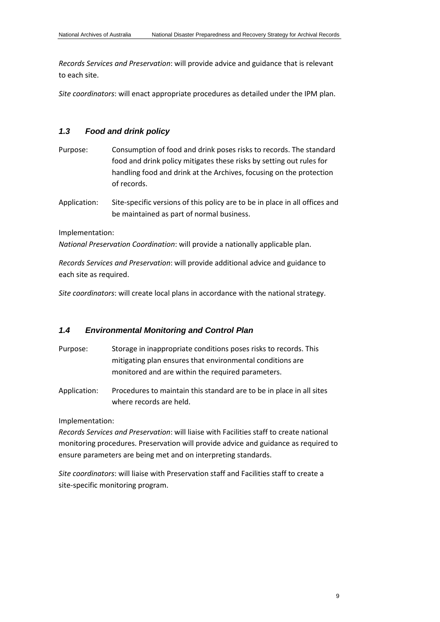*Records Services and Preservation*: will provide advice and guidance that is relevant to each site.

*Site coordinators*: will enact appropriate procedures as detailed under the IPM plan.

## <span id="page-8-0"></span>*1.3 Food and drink policy*

- Purpose: Consumption of food and drink poses risks to records. The standard food and drink policy mitigates these risks by setting out rules for handling food and drink at the Archives, focusing on the protection of records.
- Application: Site-specific versions of this policy are to be in place in all offices and be maintained as part of normal business.

Implementation:

*National Preservation Coordination*: will provide a nationally applicable plan.

*Records Services and Preservation*: will provide additional advice and guidance to each site as required.

*Site coordinators*: will create local plans in accordance with the national strategy.

## <span id="page-8-1"></span>*1.4 Environmental Monitoring and Control Plan*

- Purpose: Storage in inappropriate conditions poses risks to records. This mitigating plan ensures that environmental conditions are monitored and are within the required parameters.
- Application: Procedures to maintain this standard are to be in place in all sites where records are held.

Implementation:

*Records Services and Preservation*: will liaise with Facilities staff to create national monitoring procedures. Preservation will provide advice and guidance as required to ensure parameters are being met and on interpreting standards.

*Site coordinators*: will liaise with Preservation staff and Facilities staff to create a site-specific monitoring program.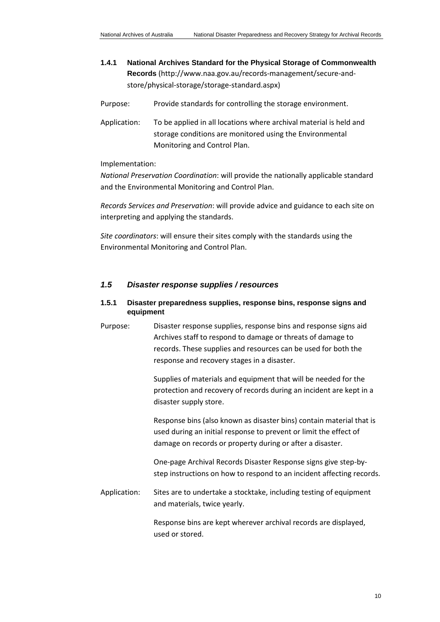- <span id="page-9-0"></span>**1.4.1 National Archives Standard for the Physical Storage of Commonwealth Records** [\(http://www.naa.gov.au/records-management/secure-and](http://www.naa.gov.au/records-management/secure-and-store/physical-storage/storage-standard.aspx)[store/physical-storage/storage-standard.aspx\)](http://www.naa.gov.au/records-management/secure-and-store/physical-storage/storage-standard.aspx)
- Purpose: Provide standards for controlling the storage environment.
- Application: To be applied in all locations where archival material is held and storage conditions are monitored using the Environmental Monitoring and Control Plan.

#### Implementation:

*National Preservation Coordination*: will provide the nationally applicable standard and the Environmental Monitoring and Control Plan.

*Records Services and Preservation*: will provide advice and guidance to each site on interpreting and applying the standards.

*Site coordinators*: will ensure their sites comply with the standards using the Environmental Monitoring and Control Plan.

#### <span id="page-9-1"></span>*1.5 Disaster response supplies / resources*

## **1.5.1 Disaster preparedness supplies, response bins, response signs and equipment**

Purpose: Disaster response supplies, response bins and response signs aid Archives staff to respond to damage or threats of damage to records. These supplies and resources can be used for both the response and recovery stages in a disaster.

> Supplies of materials and equipment that will be needed for the protection and recovery of records during an incident are kept in a disaster supply store.

> Response bins (also known as disaster bins) contain material that is used during an initial response to prevent or limit the effect of damage on records or property during or after a disaster.

One-page Archival Records Disaster Response signs give step-bystep instructions on how to respond to an incident affecting records.

Application: Sites are to undertake a stocktake, including testing of equipment and materials, twice yearly.

> Response bins are kept wherever archival records are displayed, used or stored.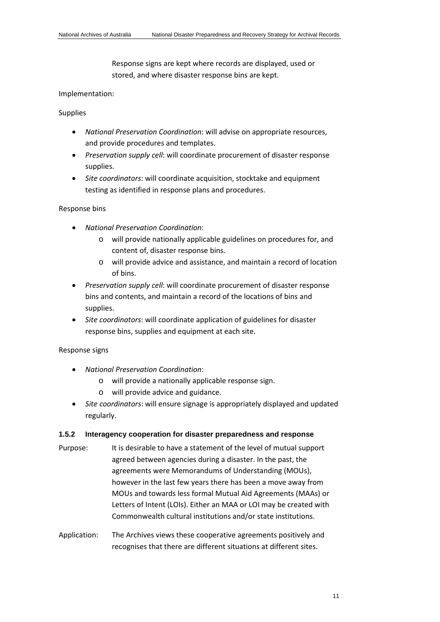Response signs are kept where records are displayed, used or stored, and where disaster response bins are kept.

#### Implementation:

Supplies

- *National Preservation Coordination*: will advise on appropriate resources, and provide procedures and templates.
- *Preservation supply cell*: will coordinate procurement of disaster response supplies.
- *Site coordinators*: will coordinate acquisition, stocktake and equipment testing as identified in response plans and procedures.

#### Response bins

- *National Preservation Coordination*:
	- o will provide nationally applicable guidelines on procedures for, and content of, disaster response bins.
	- o will provide advice and assistance, and maintain a record of location of bins.
- *Preservation supply cell*: will coordinate procurement of disaster response bins and contents, and maintain a record of the locations of bins and supplies.
- *Site coordinators*: will coordinate application of guidelines for disaster response bins, supplies and equipment at each site.

## Response signs

- *National Preservation Coordination*:
	- o will provide a nationally applicable response sign.
	- o will provide advice and guidance.
- *Site coordinators*: will ensure signage is appropriately displayed and updated regularly.

## <span id="page-10-0"></span>**1.5.2 Interagency cooperation for disaster preparedness and response**

- Purpose: It is desirable to have a statement of the level of mutual support agreed between agencies during a disaster. In the past, the agreements were Memorandums of Understanding (MOUs), however in the last few years there has been a move away from MOUs and towards less formal Mutual Aid Agreements (MAAs) or Letters of Intent (LOIs). Either an MAA or LOI may be created with Commonwealth cultural institutions and/or state institutions.
- Application: The Archives views these cooperative agreements positively and recognises that there are different situations at different sites.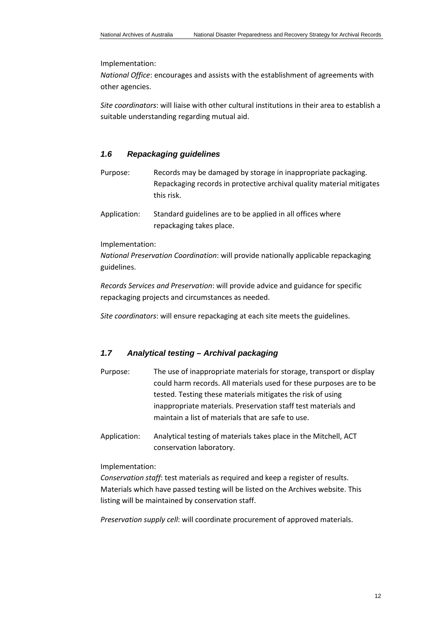Implementation:

*National Office*: encourages and assists with the establishment of agreements with other agencies.

*Site coordinators*: will liaise with other cultural institutions in their area to establish a suitable understanding regarding mutual aid.

#### <span id="page-11-0"></span>*1.6 Repackaging guidelines*

- Purpose: Records may be damaged by storage in inappropriate packaging. Repackaging records in protective archival quality material mitigates this risk.
- Application: Standard guidelines are to be applied in all offices where repackaging takes place.

#### Implementation:

*National Preservation Coordination*: will provide nationally applicable repackaging guidelines.

*Records Services and Preservation*: will provide advice and guidance for specific repackaging projects and circumstances as needed.

*Site coordinators*: will ensure repackaging at each site meets the guidelines.

# <span id="page-11-1"></span>*1.7 Analytical testing – Archival packaging*

- Purpose: The use of inappropriate materials for storage, transport or display could harm records. All materials used for these purposes are to be tested. Testing these materials mitigates the risk of using inappropriate materials. Preservation staff test materials and maintain a list of materials that are safe to use.
- Application: Analytical testing of materials takes place in the Mitchell, ACT conservation laboratory.

#### Implementation:

*Conservation staff*: test materials as required and keep a register of results. Materials which have passed testing will be listed on the Archives website. This listing will be maintained by conservation staff.

*Preservation supply cell*: will coordinate procurement of approved materials.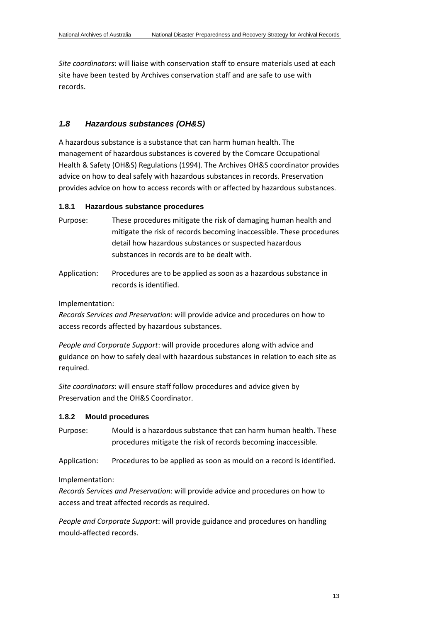*Site coordinators*: will liaise with conservation staff to ensure materials used at each site have been tested by Archives conservation staff and are safe to use with records.

# <span id="page-12-0"></span>*1.8 Hazardous substances (OH&S)*

A hazardous substance is a substance that can harm human health. The management of hazardous substances is covered by the Comcare Occupational Health & Safety (OH&S) Regulations (1994). The Archives OH&S coordinator provides advice on how to deal safely with hazardous substances in records. Preservation provides advice on how to access records with or affected by hazardous substances.

#### **1.8.1 Hazardous substance procedures**

- Purpose: These procedures mitigate the risk of damaging human health and mitigate the risk of records becoming inaccessible. These procedures detail how hazardous substances or suspected hazardous substances in records are to be dealt with.
- Application: Procedures are to be applied as soon as a hazardous substance in records is identified.

#### Implementation:

*Records Services and Preservation*: will provide advice and procedures on how to access records affected by hazardous substances.

*People and Corporate Support*: will provide procedures along with advice and guidance on how to safely deal with hazardous substances in relation to each site as required.

*Site coordinators*: will ensure staff follow procedures and advice given by Preservation and the OH&S Coordinator.

## **1.8.2 Mould procedures**

Purpose: Mould is a hazardous substance that can harm human health. These procedures mitigate the risk of records becoming inaccessible.

Application: Procedures to be applied as soon as mould on a record is identified.

Implementation:

*Records Services and Preservation*: will provide advice and procedures on how to access and treat affected records as required.

*People and Corporate Support*: will provide guidance and procedures on handling mould-affected records.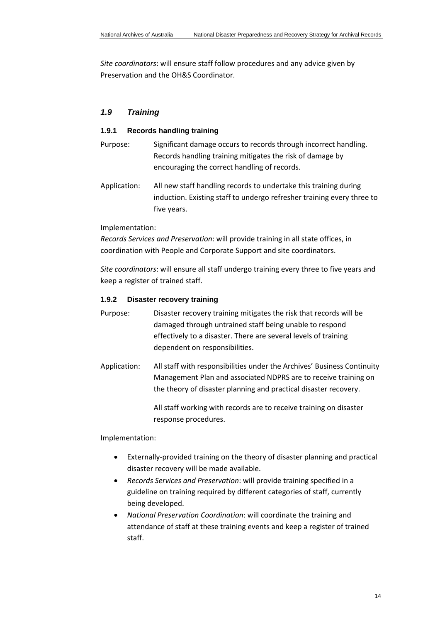*Site coordinators*: will ensure staff follow procedures and any advice given by Preservation and the OH&S Coordinator.

# <span id="page-13-0"></span>*1.9 Training*

#### **1.9.1 Records handling training**

- Purpose: Significant damage occurs to records through incorrect handling. Records handling training mitigates the risk of damage by encouraging the correct handling of records.
- Application: All new staff handling records to undertake this training during induction. Existing staff to undergo refresher training every three to five years.

#### Implementation:

*Records Services and Preservation*: will provide training in all state offices, in coordination with People and Corporate Support and site coordinators.

*Site coordinators*: will ensure all staff undergo training every three to five years and keep a register of trained staff.

#### <span id="page-13-1"></span>**1.9.2 Disaster recovery training**

- Purpose: Disaster recovery training mitigates the risk that records will be damaged through untrained staff being unable to respond effectively to a disaster. There are several levels of training dependent on responsibilities.
- Application: All staff with responsibilities under the Archives' Business Continuity Management Plan and associated NDPRS are to receive training on the theory of disaster planning and practical disaster recovery.

All staff working with records are to receive training on disaster response procedures.

#### Implementation:

- Externally-provided training on the theory of disaster planning and practical disaster recovery will be made available.
- *Records Services and Preservation*: will provide training specified in a guideline on training required by different categories of staff, currently being developed.
- *National Preservation Coordination*: will coordinate the training and attendance of staff at these training events and keep a register of trained staff.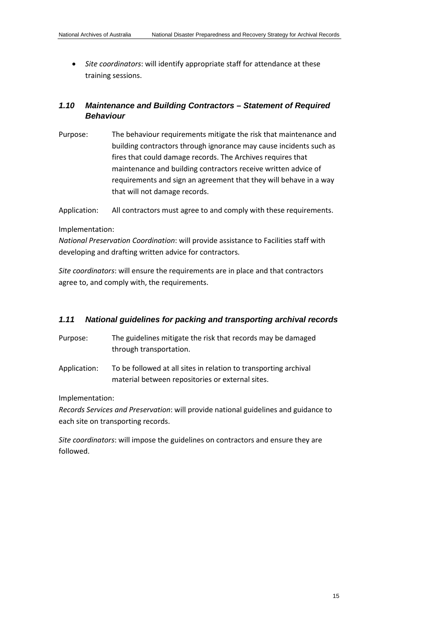• *Site coordinators*: will identify appropriate staff for attendance at these training sessions.

# <span id="page-14-0"></span>*1.10 Maintenance and Building Contractors – Statement of Required Behaviour*

Purpose: The behaviour requirements mitigate the risk that maintenance and building contractors through ignorance may cause incidents such as fires that could damage records. The Archives requires that maintenance and building contractors receive written advice of requirements and sign an agreement that they will behave in a way that will not damage records.

Application: All contractors must agree to and comply with these requirements.

#### Implementation:

*National Preservation Coordination*: will provide assistance to Facilities staff with developing and drafting written advice for contractors.

*Site coordinators*: will ensure the requirements are in place and that contractors agree to, and comply with, the requirements.

## <span id="page-14-1"></span>*1.11 National guidelines for packing and transporting archival records*

- Purpose: The guidelines mitigate the risk that records may be damaged through transportation.
- Application: To be followed at all sites in relation to transporting archival material between repositories or external sites.

Implementation:

*Records Services and Preservation*: will provide national guidelines and guidance to each site on transporting records.

*Site coordinators*: will impose the guidelines on contractors and ensure they are followed.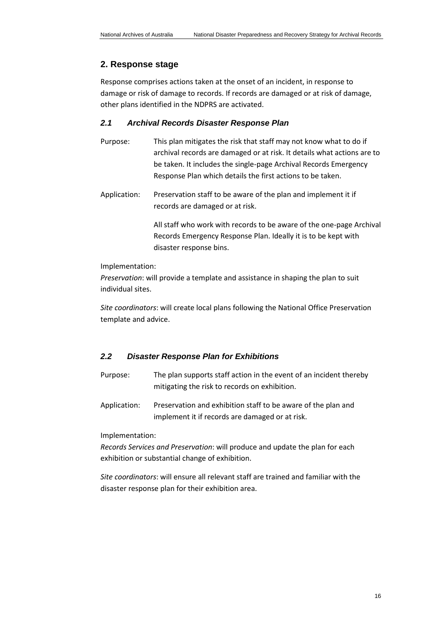# <span id="page-15-0"></span>**2. Response stage**

Response comprises actions taken at the onset of an incident, in response to damage or risk of damage to records. If records are damaged or at risk of damage, other plans identified in the NDPRS are activated.

# <span id="page-15-1"></span>*2.1 Archival Records Disaster Response Plan*

- Purpose: This plan mitigates the risk that staff may not know what to do if archival records are damaged or at risk. It details what actions are to be taken. It includes the single-page Archival Records Emergency Response Plan which details the first actions to be taken.
- Application: Preservation staff to be aware of the plan and implement it if records are damaged or at risk.

All staff who work with records to be aware of the one-page Archival Records Emergency Response Plan. Ideally it is to be kept with disaster response bins.

Implementation:

*Preservation*: will provide a template and assistance in shaping the plan to suit individual sites.

*Site coordinators*: will create local plans following the National Office Preservation template and advice.

# <span id="page-15-2"></span>*2.2 Disaster Response Plan for Exhibitions*

Purpose: The plan supports staff action in the event of an incident thereby mitigating the risk to records on exhibition.

Application: Preservation and exhibition staff to be aware of the plan and implement it if records are damaged or at risk.

Implementation:

*Records Services and Preservation*: will produce and update the plan for each exhibition or substantial change of exhibition.

*Site coordinators*: will ensure all relevant staff are trained and familiar with the disaster response plan for their exhibition area.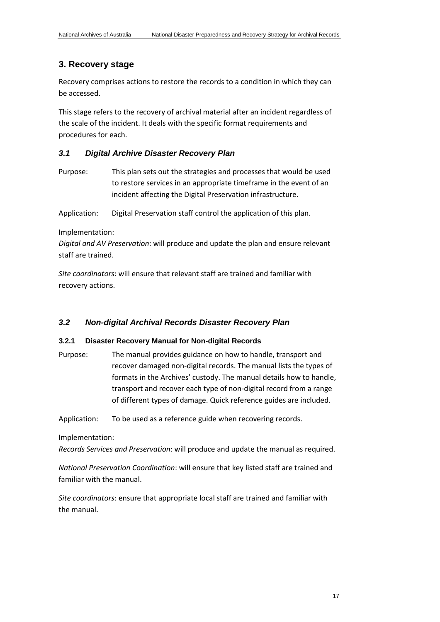# <span id="page-16-0"></span>**3. Recovery stage**

Recovery comprises actions to restore the records to a condition in which they can be accessed.

This stage refers to the recovery of archival material after an incident regardless of the scale of the incident. It deals with the specific format requirements and procedures for each.

# <span id="page-16-1"></span>*3.1 Digital Archive Disaster Recovery Plan*

Purpose: This plan sets out the strategies and processes that would be used to restore services in an appropriate timeframe in the event of an incident affecting the Digital Preservation infrastructure.

Application: Digital Preservation staff control the application of this plan.

#### Implementation:

*Digital and AV Preservation*: will produce and update the plan and ensure relevant staff are trained.

*Site coordinators*: will ensure that relevant staff are trained and familiar with recovery actions.

## <span id="page-16-2"></span>*3.2 Non-digital Archival Records Disaster Recovery Plan*

## **3.2.1 Disaster Recovery Manual for Non-digital Records**

Purpose: The manual provides guidance on how to handle, transport and recover damaged non-digital records. The manual lists the types of formats in the Archives' custody. The manual details how to handle, transport and recover each type of non-digital record from a range of different types of damage. Quick reference guides are included.

Application: To be used as a reference guide when recovering records.

## Implementation:

*Records Services and Preservation*: will produce and update the manual as required.

*National Preservation Coordination*: will ensure that key listed staff are trained and familiar with the manual.

*Site coordinators*: ensure that appropriate local staff are trained and familiar with the manual.